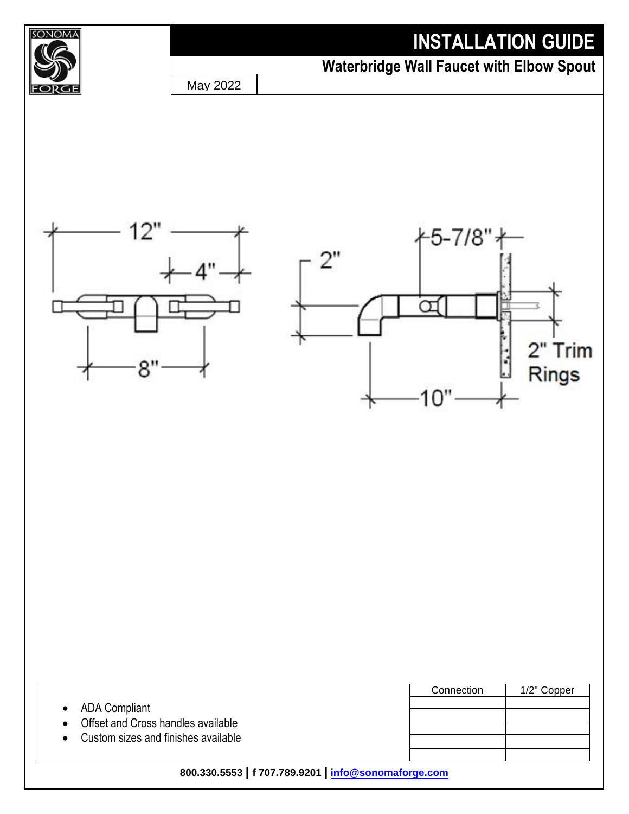## **INSTALLATION GUIDE**



## **Waterbridge Wall Faucet with Elbow Spout**

May 2022





|                                                                                              | Connection | 1/2" Copper |
|----------------------------------------------------------------------------------------------|------------|-------------|
| • ADA Compliant<br>Offset and Cross handles available<br>Custom sizes and finishes available |            |             |
| 800.330.5553   f 707.789.9201   info@sonomaforge.com                                         |            |             |